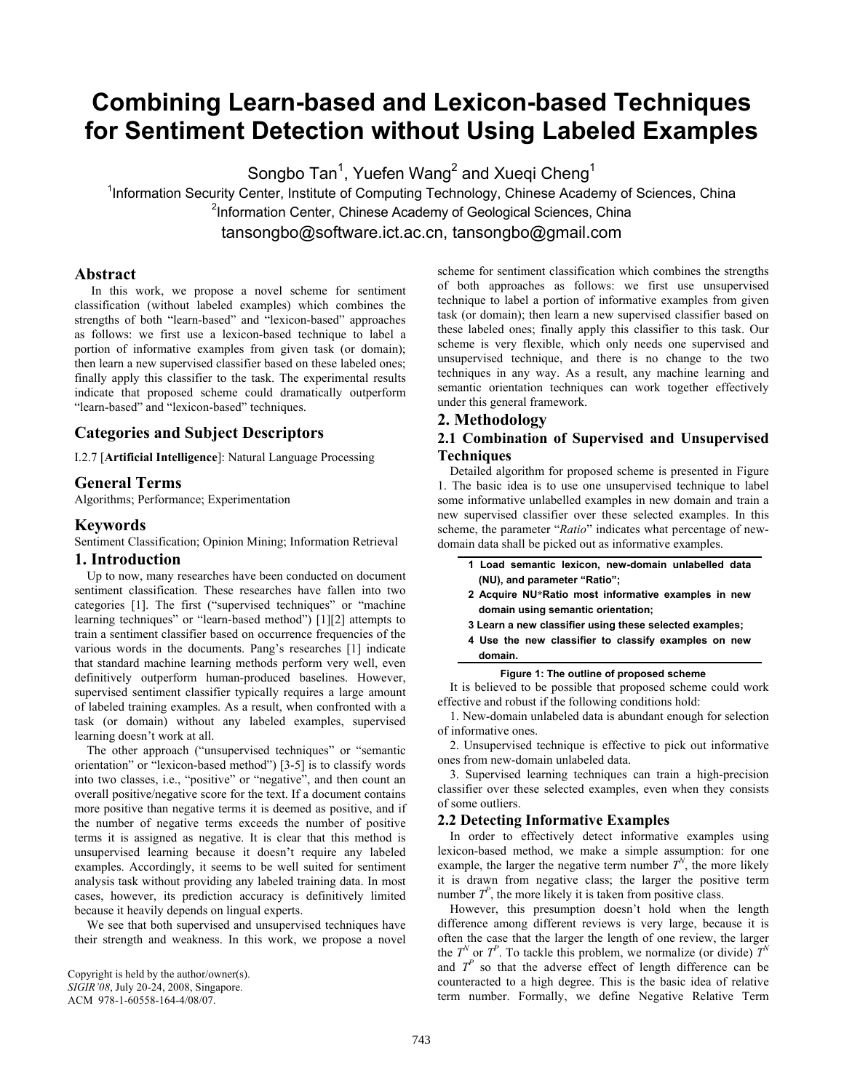# **Combining Learn-based and Lexicon-based Techniques for Sentiment Detection without Using Labeled Examples**

Songbo Tan<sup>1</sup>, Yuefen Wang<sup>2</sup> and Xueqi Cheng<sup>1</sup>

<sup>1</sup>Information Security Center, Institute of Computing Technology, Chinese Academy of Sciences, China <sup>2</sup>Information Center, Chinese Academy of Geological Sciences, China tansongbo@software.ict.ac.cn, tansongbo@gmail.com

## **Abstract**

In this work, we propose a novel scheme for sentiment classification (without labeled examples) which combines the strengths of both "learn-based" and "lexicon-based" approaches as follows: we first use a lexicon-based technique to label a portion of informative examples from given task (or domain); then learn a new supervised classifier based on these labeled ones; finally apply this classifier to the task. The experimental results indicate that proposed scheme could dramatically outperform "learn-based" and "lexicon-based" techniques.

# **Categories and Subject Descriptors**

I.2.7 [**Artificial Intelligence**]: Natural Language Processing

# **General Terms**

Algorithms; Performance; Experimentation

## **Keywords**

Sentiment Classification; Opinion Mining; Information Retrieval

### **1. Introduction**

Up to now, many researches have been conducted on document sentiment classification. These researches have fallen into two categories [1]. The first ("supervised techniques" or "machine learning techniques" or "learn-based method") [1][2] attempts to train a sentiment classifier based on occurrence frequencies of the various words in the documents. Pang's researches [1] indicate that standard machine learning methods perform very well, even definitively outperform human-produced baselines. However, supervised sentiment classifier typically requires a large amount of labeled training examples. As a result, when confronted with a task (or domain) without any labeled examples, supervised learning doesn't work at all.

The other approach ("unsupervised techniques" or "semantic orientation" or "lexicon-based method") [3-5] is to classify words into two classes, i.e., "positive" or "negative", and then count an overall positive/negative score for the text. If a document contains more positive than negative terms it is deemed as positive, and if the number of negative terms exceeds the number of positive terms it is assigned as negative. It is clear that this method is unsupervised learning because it doesn't require any labeled examples. Accordingly, it seems to be well suited for sentiment analysis task without providing any labeled training data. In most cases, however, its prediction accuracy is definitively limited because it heavily depends on lingual experts.

We see that both supervised and unsupervised techniques have their strength and weakness. In this work, we propose a novel scheme for sentiment classification which combines the strengths of both approaches as follows: we first use unsupervised technique to label a portion of informative examples from given task (or domain); then learn a new supervised classifier based on these labeled ones; finally apply this classifier to this task. Our scheme is very flexible, which only needs one supervised and unsupervised technique, and there is no change to the two techniques in any way. As a result, any machine learning and semantic orientation techniques can work together effectively under this general framework.

# **2. Methodology**

# **2.1 Combination of Supervised and Unsupervised Techniques**

Detailed algorithm for proposed scheme is presented in Figure 1. The basic idea is to use one unsupervised technique to label some informative unlabelled examples in new domain and train a new supervised classifier over these selected examples. In this scheme, the parameter "*Ratio*" indicates what percentage of newdomain data shall be picked out as informative examples.

|                              |  |  | 1 Load semantic lexicon, new-domain unlabelled data |  |  |
|------------------------------|--|--|-----------------------------------------------------|--|--|
| (NU), and parameter "Ratio"; |  |  |                                                     |  |  |

- **2 Acquire NU\*Ratio most informative examples in new domain using semantic orientation;**
- **3 Learn a new classifier using these selected examples;**
- **4 Use the new classifier to classify examples on new domain.**

#### **Figure 1: The outline of proposed scheme**

It is believed to be possible that proposed scheme could work effective and robust if the following conditions hold:

1. New-domain unlabeled data is abundant enough for selection of informative ones.

2. Unsupervised technique is effective to pick out informative ones from new-domain unlabeled data.

3. Supervised learning techniques can train a high-precision classifier over these selected examples, even when they consists of some outliers.

#### **2.2 Detecting Informative Examples**

In order to effectively detect informative examples using lexicon-based method, we make a simple assumption: for one example, the larger the negative term number  $T^N$ , the more likely it is drawn from negative class; the larger the positive term number  $T<sup>P</sup>$ , the more likely it is taken from positive class.

However, this presumption doesn't hold when the length difference among different reviews is very large, because it is often the case that the larger the length of one review, the larger the  $T^N$  or  $T^P$ . To tackle this problem, we normalize (or divide)  $T^N$ and  $T<sup>p</sup>$  so that the adverse effect of length difference can be counteracted to a high degree. This is the basic idea of relative term number. Formally, we define Negative Relative Term

Copyright is held by the author/owner(s). *SIGIR'08*, July 20-24, 2008, Singapore. ACM 978-1-60558-164-4/08/07.